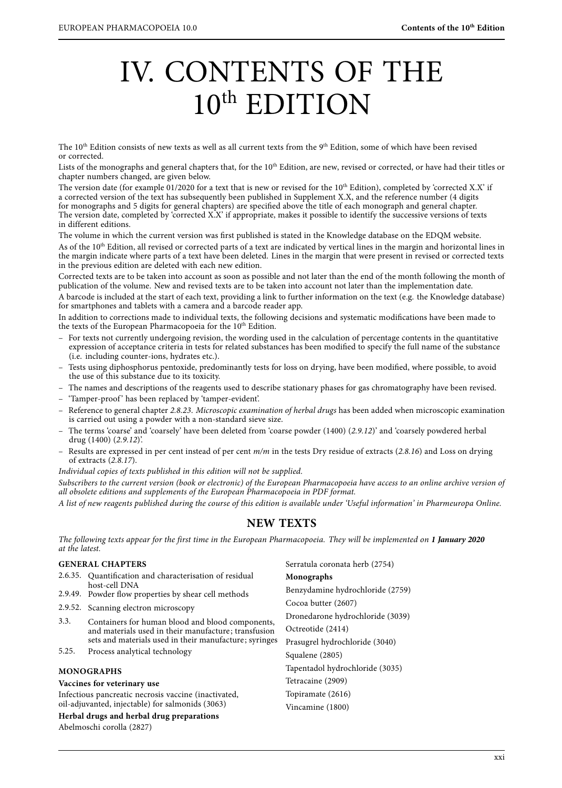# IV. CONTENTS OF THE 10th EDITION

The  $10^{th}$  Edition consists of new texts as well as all current texts from the  $9^{th}$  Edition, some of which have been revised or corrected.

Lists of the monographs and general chapters that, for the 10<sup>th</sup> Edition, are new, revised or corrected, or have had their titles or chapter numbers changed, are given below.

The version date (for example 01/2020 for a text that is new or revised for the 10<sup>th</sup> Edition), completed by 'corrected X.X' if a corrected version of the text has subsequently been published in Supplement X.X, and the reference number (4 digits for monographs and 5 digits for general chapters) are specified above the title of each monograph and general chapter. The version date, completed by 'corrected X.X' if appropriate, makes it possible to identify the successive versions of texts in different editions.

The volume in which the current version was first published is stated in the Knowledge database on the EDQM website. As of the 10<sup>th</sup> Edition, all revised or corrected parts of a text are indicated by vertical lines in the margin and horizontal lines in the margin indicate where parts of a text have been deleted. Lines in the margin that were present in revised or corrected texts in the previous edition are deleted with each new edition.

Corrected texts are to be taken into account as soon as possible and not later than the end of the month following the month of publication of the volume. New and revised texts are to be taken into account not later than the implementation date.

A barcode is included at the start of each text, providing a link to further information on the text (e.g. the Knowledge database) for smartphones and tablets with a camera and a barcode reader app.

In addition to corrections made to individual texts, the following decisions and systematic modifications have been made to the texts of the European Pharmacopoeia for the 10<sup>th</sup> Edition.

- For texts not currently undergoing revision, the wording used in the calculation of percentage contents in the quantitative expression of acceptance criteria in tests for related substances has been modified to specify the full name of the substance (i.e. including counter-ions, hydrates etc.).
- Tests using diphosphorus pentoxide, predominantly tests for loss on drying, have been modified, where possible, to avoid the use of this substance due to its toxicity.
- The names and descriptions of the reagents used to describe stationary phases for gas chromatography have been revised.
- 'Tamper-proof ' has been replaced by 'tamper-evident'.
- Reference to general chapter 2.8.23. Microscopic examination of herbal drugs has been added when microscopic examination is carried out using a powder with a non-standard sieve size.
- The terms 'coarse' and 'coarsely' have been deleted from 'coarse powder (1400) (2.9.12)' and 'coarsely powdered herbal drug (1400) (2.9.12)'.
- Results are expressed in per cent instead of per cent m/m in the tests Dry residue of extracts (2.8.16) and Loss on drying of extracts (2.8.17).

Individual copies of texts published in this edition will not be supplied.

Subscribers to the current version (book or electronic) of the European Pharmacopoeia have access to an online archive version of all obsolete editions and supplements of the European Pharmacopoeia in PDF format.

A list of new reagents published during the course of this edition is available under 'Useful information' in Pharmeuropa Online.

## **NEW TEXTS**

The following texts appear for the first time in the European Pharmacopoeia. They will be implemented on **1 January 2020** at the latest.

#### **GENERAL CHAPTERS** 2.6.35. Quantification and characterisation of residual host-cell DNA 2.9.49. Powder flow properties by shear cell methods 2.9.52. Scanning electron microscopy 3.3. Containers for human blood and blood components, and materials used in their manufacture; transfusion sets and materials used in their manufacture; syringes 5.25. Process analytical technology **MONOGRAPHS Vaccines for veterinary use** Infectious pancreatic necrosis vaccine (inactivated, oil-adjuvanted, injectable) for salmonids (3063) **Herbal drugs and herbal drug preparations** Abelmoschi corolla (2827) Serratula coronata herb (2754) **Monographs** Benzydamine hydrochloride (2759) Cocoa butter (2607) Dronedarone hydrochloride (3039) Octreotide (2414) Prasugrel hydrochloride (3040) Squalene (2805) Tapentadol hydrochloride (3035) Tetracaine (2909) Topiramate (2616) Vincamine (1800)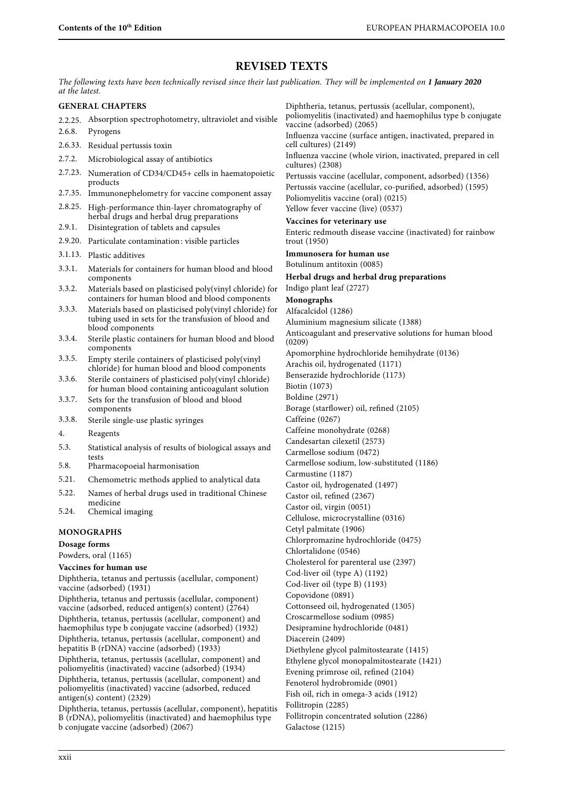## **REVISED TEXTS**

The following texts have been technically revised since their last publication. They will be implemented on **1 January 2020** at the latest.

#### **GENERAL CHAPTERS**

- 2.2.25. Absorption spectrophotometry, ultraviolet and visible
- 2.6.8. Pyrogens
- 2.6.33. Residual pertussis toxin
- 2.7.2. Microbiological assay of antibiotics
- 2.7.23. Numeration of CD34/CD45+ cells in haematopoietic products
- 2.7.35. Immunonephelometry for vaccine component assay
- 2.8.25. High-performance thin-layer chromatography of herbal drugs and herbal drug preparations
- 2.9.1. Disintegration of tablets and capsules
- 2.9.20. Particulate contamination: visible particles
- 3.1.13. Plastic additives
- 3.3.1. Materials for containers for human blood and blood components
- 3.3.2. Materials based on plasticised poly(vinyl chloride) for containers for human blood and blood components
- 3.3.3. Materials based on plasticised poly(vinyl chloride) for tubing used in sets for the transfusion of blood and blood components
- 3.3.4. Sterile plastic containers for human blood and blood components
- 3.3.5. Empty sterile containers of plasticised poly(vinyl chloride) for human blood and blood components
- 3.3.6. Sterile containers of plasticised poly(vinyl chloride) for human blood containing anticoagulant solution
- 3.3.7. Sets for the transfusion of blood and blood components
- 3.3.8. Sterile single-use plastic syringes
- 4. Reagents
- 5.3. Statistical analysis of results of biological assays and tests
- 5.8. Pharmacopoeial harmonisation
- 5.21. Chemometric methods applied to analytical data
- 5.22. Names of herbal drugs used in traditional Chinese medicine
- 5.24. Chemical imaging

#### **MONOGRAPHS**

**Dosage forms**

Powders, oral (1165)

#### **Vaccines for human use**

Diphtheria, tetanus and pertussis (acellular, component) vaccine (adsorbed) (1931)

Diphtheria, tetanus and pertussis (acellular, component) vaccine (adsorbed, reduced antigen(s) content) (2764) Diphtheria, tetanus, pertussis (acellular, component) and haemophilus type b conjugate vaccine (adsorbed) (1932) Diphtheria, tetanus, pertussis (acellular, component) and hepatitis B (rDNA) vaccine (adsorbed) (1933)

Diphtheria, tetanus, pertussis (acellular, component) and poliomyelitis (inactivated) vaccine (adsorbed) (1934)

Diphtheria, tetanus, pertussis (acellular, component) and poliomyelitis (inactivated) vaccine (adsorbed, reduced antigen(s) content) (2329)

Diphtheria, tetanus, pertussis (acellular, component), hepatitis B (rDNA), poliomyelitis (inactivated) and haemophilus type b conjugate vaccine (adsorbed) (2067)

Diphtheria, tetanus, pertussis (acellular, component), poliomyelitis (inactivated) and haemophilus type b conjugate vaccine (adsorbed) (2065)

Influenza vaccine (surface antigen, inactivated, prepared in cell cultures) (2149)

Influenza vaccine (whole virion, inactivated, prepared in cell cultures) (2308)

Pertussis vaccine (acellular, component, adsorbed) (1356) Pertussis vaccine (acellular, co-purified, adsorbed) (1595) Poliomyelitis vaccine (oral) (0215) Yellow fever vaccine (live) (0537)

#### **Vaccines for veterinary use**

Enteric redmouth disease vaccine (inactivated) for rainbow trout (1950)

#### **Immunosera for human use**

Botulinum antitoxin (0085)

## **Herbal drugs and herbal drug preparations**

Indigo plant leaf (2727)

**Monographs**

Alfacalcidol (1286) Aluminium magnesium silicate (1388)

Anticoagulant and preservative solutions for human blood (0209)

Apomorphine hydrochloride hemihydrate (0136)

Arachis oil, hydrogenated (1171)

Benserazide hydrochloride (1173)

Biotin (1073)

Boldine (2971)

Borage (starflower) oil, refined (2105)

Caffeine (0267)

Caffeine monohydrate (0268)

Candesartan cilexetil (2573)

Carmellose sodium (0472)

Carmellose sodium, low-substituted (1186)

Carmustine (1187)

Castor oil, hydrogenated (1497)

Castor oil, refined (2367)

Castor oil, virgin (0051)

Cellulose, microcrystalline (0316)

Cetyl palmitate (1906)

Chlorpromazine hydrochloride (0475) Chlortalidone (0546)

Cholesterol for parenteral use (2397)

Cod-liver oil (type A) (1192)

Cod-liver oil (type B) (1193)

Copovidone (0891)

Cottonseed oil, hydrogenated (1305)

Croscarmellose sodium (0985)

Desipramine hydrochloride (0481)

Diacerein (2409)

Diethylene glycol palmitostearate (1415)

Ethylene glycol monopalmitostearate (1421)

Evening primrose oil, refined (2104)

Fenoterol hydrobromide (0901)

Fish oil, rich in omega-3 acids (1912)

Follitropin (2285)

Follitropin concentrated solution (2286)

Galactose (1215)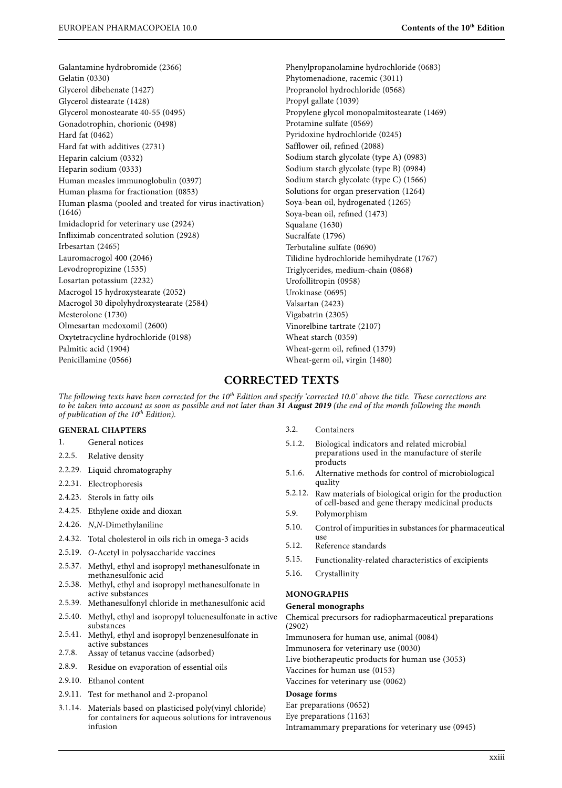Galantamine hydrobromide (2366) Gelatin (0330) Glycerol dibehenate (1427) Glycerol distearate (1428) Glycerol monostearate 40-55 (0495) Gonadotrophin, chorionic (0498) Hard fat (0462) Hard fat with additives (2731) Heparin calcium (0332) Heparin sodium (0333) Human measles immunoglobulin (0397) Human plasma for fractionation (0853) Human plasma (pooled and treated for virus inactivation) (1646) Imidacloprid for veterinary use (2924) Infliximab concentrated solution (2928) Irbesartan (2465) Lauromacrogol 400 (2046) Levodropropizine (1535) Losartan potassium (2232) Macrogol 15 hydroxystearate (2052) Macrogol 30 dipolyhydroxystearate (2584) Mesterolone (1730) Olmesartan medoxomil (2600) Oxytetracycline hydrochloride (0198) Palmitic acid (1904) Penicillamine (0566)

Phenylpropanolamine hydrochloride (0683) Phytomenadione, racemic (3011) Propranolol hydrochloride (0568) Propyl gallate (1039) Propylene glycol monopalmitostearate (1469) Protamine sulfate (0569) Pyridoxine hydrochloride (0245) Safflower oil, refined (2088) Sodium starch glycolate (type A) (0983) Sodium starch glycolate (type B) (0984) Sodium starch glycolate (type C) (1566) Solutions for organ preservation (1264) Soya-bean oil, hydrogenated (1265) Soya-bean oil, refined (1473) Squalane (1630) Sucralfate (1796) Terbutaline sulfate (0690) Tilidine hydrochloride hemihydrate (1767) Triglycerides, medium-chain (0868) Urofollitropin (0958) Urokinase (0695) Valsartan (2423) Vigabatrin (2305) Vinorelbine tartrate (2107) Wheat starch (0359) Wheat-germ oil, refined (1379) Wheat-germ oil, virgin (1480)

## **CORRECTED TEXTS**

The following texts have been corrected for the  $10^{th}$  Edition and specify 'corrected 10.0' above the title. These corrections are to be taken into account as soon as possible and not later than **31 August 2019** (the end of the month following the month of publication of the  $10^{th}$  Edition).

#### **GENERAL CHAPTERS**

- 1. General notices
- 2.2.5. Relative density
- 2.2.29. Liquid chromatography
- 2.2.31. Electrophoresis
- 2.4.23. Sterols in fatty oils
- 2.4.25. Ethylene oxide and dioxan
- 2.4.26. N,N-Dimethylaniline
- 2.4.32. Total cholesterol in oils rich in omega-3 acids
- 2.5.19. O-Acetyl in polysaccharide vaccines
- 2.5.37. Methyl, ethyl and isopropyl methanesulfonate in methanesulfonic acid
- 2.5.38. Methyl, ethyl and isopropyl methanesulfonate in active substances
- 2.5.39. Methanesulfonyl chloride in methanesulfonic acid
- 2.5.40. Methyl, ethyl and isopropyl toluenesulfonate in active substances
- 2.5.41. Methyl, ethyl and isopropyl benzenesulfonate in active substances
- 2.7.8. Assay of tetanus vaccine (adsorbed)
- 2.8.9. Residue on evaporation of essential oils
- 2.9.10. Ethanol content
- 2.9.11. Test for methanol and 2-propanol
- 3.1.14. Materials based on plasticised poly(vinyl chloride) for containers for aqueous solutions for intravenous infusion
- 3.2. Containers
- 5.1.2. Biological indicators and related microbial preparations used in the manufacture of sterile products
- 5.1.6. Alternative methods for control of microbiological quality
- 5.2.12. Raw materials of biological origin for the production of cell-based and gene therapy medicinal products
- 5.9. Polymorphism
- 5.10. Control of impurities in substances for pharmaceutical
- use<br>5.12. Reference standards
- 5.15. Functionality-related characteristics of excipients
- 5.16. Crystallinity

#### **MONOGRAPHS**

#### **General monographs**

Chemical precursors for radiopharmaceutical preparations (2902)

Immunosera for human use, animal (0084)

Immunosera for veterinary use (0030)

Live biotherapeutic products for human use (3053)

Vaccines for human use (0153)

Vaccines for veterinary use (0062)

## **Dosage forms**

Ear preparations (0652) Eye preparations (1163) Intramammary preparations for veterinary use (0945)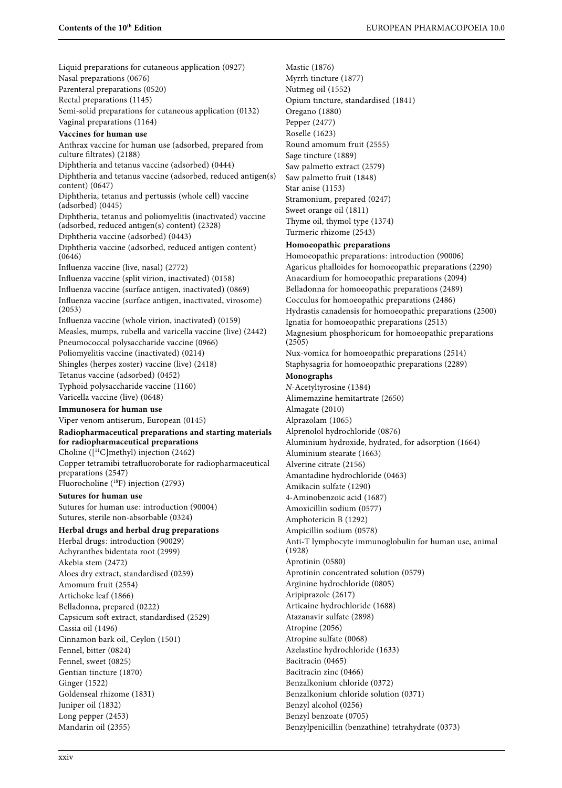Mastic (1876) Myrrh tincture (1877) Nutmeg oil (1552)

Liquid preparations for cutaneous application (0927) Nasal preparations (0676) Parenteral preparations (0520) Rectal preparations (1145) Semi-solid preparations for cutaneous application (0132) Vaginal preparations (1164) **Vaccines for human use** Anthrax vaccine for human use (adsorbed, prepared from culture filtrates) (2188) Diphtheria and tetanus vaccine (adsorbed) (0444) Diphtheria and tetanus vaccine (adsorbed, reduced antigen(s) content) (0647) Diphtheria, tetanus and pertussis (whole cell) vaccine (adsorbed) (0445) Diphtheria, tetanus and poliomyelitis (inactivated) vaccine (adsorbed, reduced antigen(s) content) (2328) Diphtheria vaccine (adsorbed) (0443) Diphtheria vaccine (adsorbed, reduced antigen content) (0646) Influenza vaccine (live, nasal) (2772) Influenza vaccine (split virion, inactivated) (0158) Influenza vaccine (surface antigen, inactivated) (0869) Influenza vaccine (surface antigen, inactivated, virosome) (2053) Influenza vaccine (whole virion, inactivated) (0159) Measles, mumps, rubella and varicella vaccine (live) (2442) Pneumococcal polysaccharide vaccine (0966) Poliomyelitis vaccine (inactivated) (0214) Shingles (herpes zoster) vaccine (live) (2418) Tetanus vaccine (adsorbed) (0452) Typhoid polysaccharide vaccine (1160) Varicella vaccine (live) (0648) **Immunosera for human use** Viper venom antiserum, European (0145) **Radiopharmaceutical preparations and starting materials for radiopharmaceutical preparations** Choline ( $\left[$ <sup>11</sup>C $\right]$ methyl) injection (2462) Copper tetramibi tetrafluoroborate for radiopharmaceutical preparations (2547) Fluorocholine (18F) injection (2793) **Sutures for human use** Sutures for human use: introduction (90004) Sutures, sterile non-absorbable (0324) **Herbal drugs and herbal drug preparations** Herbal drugs: introduction (90029) Achyranthes bidentata root (2999) Akebia stem (2472) Aloes dry extract, standardised (0259) Amomum fruit (2554) Artichoke leaf (1866) Belladonna, prepared (0222) Capsicum soft extract, standardised (2529) Cassia oil (1496) Cinnamon bark oil, Ceylon (1501) Fennel, bitter (0824) Fennel, sweet (0825) Gentian tincture (1870) Ginger (1522) Goldenseal rhizome (1831) Juniper oil (1832) Long pepper (2453) Mandarin oil (2355)

Opium tincture, standardised (1841) Oregano (1880) Pepper (2477) Roselle (1623) Round amomum fruit (2555) Sage tincture (1889) Saw palmetto extract (2579) Saw palmetto fruit (1848) Star anise (1153) Stramonium, prepared (0247) Sweet orange oil (1811) Thyme oil, thymol type (1374) Turmeric rhizome (2543) **Homoeopathic preparations** Homoeopathic preparations: introduction (90006) Agaricus phalloides for homoeopathic preparations (2290) Anacardium for homoeopathic preparations (2094) Belladonna for homoeopathic preparations (2489) Cocculus for homoeopathic preparations (2486) Hydrastis canadensis for homoeopathic preparations (2500) Ignatia for homoeopathic preparations (2513) Magnesium phosphoricum for homoeopathic preparations (2505) Nux-vomica for homoeopathic preparations (2514) Staphysagria for homoeopathic preparations (2289) **Monographs** N-Acetyltyrosine (1384) Alimemazine hemitartrate (2650) Almagate (2010) Alprazolam (1065) Alprenolol hydrochloride (0876) Aluminium hydroxide, hydrated, for adsorption (1664) Aluminium stearate (1663) Alverine citrate (2156) Amantadine hydrochloride (0463) Amikacin sulfate (1290) 4-Aminobenzoic acid (1687) Amoxicillin sodium (0577) Amphotericin B (1292) Ampicillin sodium (0578) Anti-T lymphocyte immunoglobulin for human use, animal (1928) Aprotinin (0580) Aprotinin concentrated solution (0579) Arginine hydrochloride (0805) Aripiprazole (2617) Articaine hydrochloride (1688) Atazanavir sulfate (2898) Atropine (2056) Atropine sulfate (0068) Azelastine hydrochloride (1633) Bacitracin (0465) Bacitracin zinc (0466) Benzalkonium chloride (0372) Benzalkonium chloride solution (0371) Benzyl alcohol (0256) Benzyl benzoate (0705) Benzylpenicillin (benzathine) tetrahydrate (0373)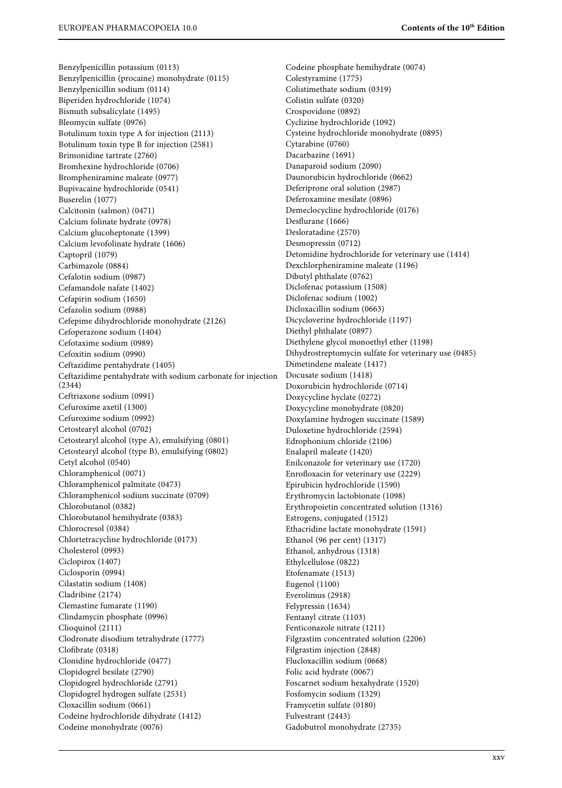Benzylpenicillin potassium (0113) Benzylpenicillin (procaine) monohydrate (0115) Benzylpenicillin sodium (0114) Biperiden hydrochloride (1074) Bismuth subsalicylate (1495) Bleomycin sulfate (0976) Botulinum toxin type A for injection (2113) Botulinum toxin type B for injection (2581) Brimonidine tartrate (2760) Bromhexine hydrochloride (0706) Brompheniramine maleate (0977) Bupivacaine hydrochloride (0541) Buserelin (1077) Calcitonin (salmon) (0471) Calcium folinate hydrate (0978) Calcium glucoheptonate (1399) Calcium levofolinate hydrate (1606) Captopril (1079) Carbimazole (0884) Cefalotin sodium (0987) Cefamandole nafate (1402) Cefapirin sodium (1650) Cefazolin sodium (0988) Cefepime dihydrochloride monohydrate (2126) Cefoperazone sodium (1404) Cefotaxime sodium (0989) Cefoxitin sodium (0990) Ceftazidime pentahydrate (1405) Ceftazidime pentahydrate with sodium carbonate for injection (2344) Ceftriaxone sodium (0991) Cefuroxime axetil (1300) Cefuroxime sodium (0992) Cetostearyl alcohol (0702) Cetostearyl alcohol (type A), emulsifying (0801) Cetostearyl alcohol (type B), emulsifying (0802) Cetyl alcohol (0540) Chloramphenicol (0071) Chloramphenicol palmitate (0473) Chloramphenicol sodium succinate (0709) Chlorobutanol (0382) Chlorobutanol hemihydrate (0383) Chlorocresol (0384) Chlortetracycline hydrochloride (0173) Cholesterol (0993) Ciclopirox (1407) Ciclosporin (0994) Cilastatin sodium (1408) Cladribine (2174) Clemastine fumarate (1190) Clindamycin phosphate (0996) Clioquinol (2111) Clodronate disodium tetrahydrate (1777) Clofibrate (0318) Clonidine hydrochloride (0477) Clopidogrel besilate (2790) Clopidogrel hydrochloride (2791) Clopidogrel hydrogen sulfate (2531) Cloxacillin sodium (0661) Codeine hydrochloride dihydrate (1412) Codeine monohydrate (0076)

Codeine phosphate hemihydrate (0074) Colestyramine (1775) Colistimethate sodium (0319) Colistin sulfate (0320) Crospovidone (0892) Cyclizine hydrochloride (1092) Cysteine hydrochloride monohydrate (0895) Cytarabine (0760) Dacarbazine (1691) Danaparoid sodium (2090) Daunorubicin hydrochloride (0662) Deferiprone oral solution (2987) Deferoxamine mesilate (0896) Demeclocycline hydrochloride (0176) Desflurane (1666) Desloratadine (2570) Desmopressin (0712) Detomidine hydrochloride for veterinary use (1414) Dexchlorpheniramine maleate (1196) Dibutyl phthalate (0762) Diclofenac potassium (1508) Diclofenac sodium (1002) Dicloxacillin sodium (0663) Dicycloverine hydrochloride (1197) Diethyl phthalate (0897) Diethylene glycol monoethyl ether (1198) Dihydrostreptomycin sulfate for veterinary use (0485) Dimetindene maleate (1417) Docusate sodium (1418) Doxorubicin hydrochloride (0714) Doxycycline hyclate (0272) Doxycycline monohydrate (0820) Doxylamine hydrogen succinate (1589) Duloxetine hydrochloride (2594) Edrophonium chloride (2106) Enalapril maleate (1420) Enilconazole for veterinary use (1720) Enrofloxacin for veterinary use (2229) Epirubicin hydrochloride (1590) Erythromycin lactobionate (1098) Erythropoietin concentrated solution (1316) Estrogens, conjugated (1512) Ethacridine lactate monohydrate (1591) Ethanol (96 per cent) (1317) Ethanol, anhydrous (1318) Ethylcellulose (0822) Etofenamate (1513) Eugenol (1100) Everolimus (2918) Felypressin (1634) Fentanyl citrate (1103) Fenticonazole nitrate (1211) Filgrastim concentrated solution (2206) Filgrastim injection (2848) Flucloxacillin sodium (0668) Folic acid hydrate (0067) Foscarnet sodium hexahydrate (1520) Fosfomycin sodium (1329) Framycetin sulfate (0180) Fulvestrant (2443) Gadobutrol monohydrate (2735)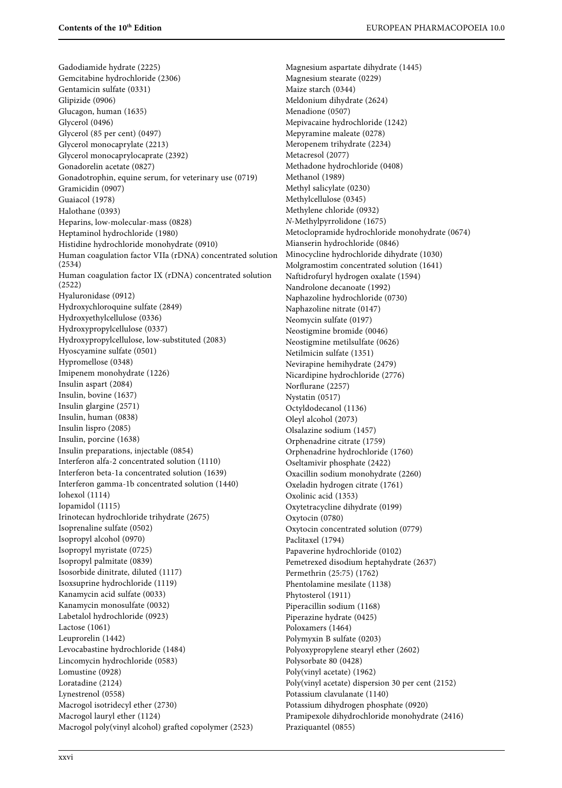Gadodiamide hydrate (2225) Gemcitabine hydrochloride (2306) Gentamicin sulfate (0331) Glipizide (0906) Glucagon, human (1635) Glycerol (0496) Glycerol (85 per cent) (0497) Glycerol monocaprylate (2213) Glycerol monocaprylocaprate (2392) Gonadorelin acetate (0827) Gonadotrophin, equine serum, for veterinary use (0719) Gramicidin (0907) Guaiacol (1978) Halothane (0393) Heparins, low-molecular-mass (0828) Heptaminol hydrochloride (1980) Histidine hydrochloride monohydrate (0910) Human coagulation factor VIIa (rDNA) concentrated solution (2534) Human coagulation factor IX (rDNA) concentrated solution (2522) Hyaluronidase (0912) Hydroxychloroquine sulfate (2849) Hydroxyethylcellulose (0336) Hydroxypropylcellulose (0337) Hydroxypropylcellulose, low-substituted (2083) Hyoscyamine sulfate (0501) Hypromellose (0348) Imipenem monohydrate (1226) Insulin aspart (2084) Insulin, bovine (1637) Insulin glargine (2571) Insulin, human (0838) Insulin lispro (2085) Insulin, porcine (1638) Insulin preparations, injectable (0854) Interferon alfa-2 concentrated solution (1110) Interferon beta-1a concentrated solution (1639) Interferon gamma-1b concentrated solution (1440) Iohexol (1114) Iopamidol (1115) Irinotecan hydrochloride trihydrate (2675) Isoprenaline sulfate (0502) Isopropyl alcohol (0970) Isopropyl myristate (0725) Isopropyl palmitate (0839) Isosorbide dinitrate, diluted (1117) Isoxsuprine hydrochloride (1119) Kanamycin acid sulfate (0033) Kanamycin monosulfate (0032) Labetalol hydrochloride (0923) Lactose (1061) Leuprorelin (1442) Levocabastine hydrochloride (1484) Lincomycin hydrochloride (0583) Lomustine (0928) Loratadine (2124) Lynestrenol (0558) Macrogol isotridecyl ether (2730) Macrogol lauryl ether (1124) Macrogol poly(vinyl alcohol) grafted copolymer (2523)

Magnesium aspartate dihydrate (1445) Magnesium stearate (0229) Maize starch (0344) Meldonium dihydrate (2624) Menadione (0507) Mepivacaine hydrochloride (1242) Mepyramine maleate (0278) Meropenem trihydrate (2234) Metacresol (2077) Methadone hydrochloride (0408) Methanol (1989) Methyl salicylate (0230) Methylcellulose (0345) Methylene chloride (0932) N-Methylpyrrolidone (1675) Metoclopramide hydrochloride monohydrate (0674) Mianserin hydrochloride (0846) Minocycline hydrochloride dihydrate (1030) Molgramostim concentrated solution (1641) Naftidrofuryl hydrogen oxalate (1594) Nandrolone decanoate (1992) Naphazoline hydrochloride (0730) Naphazoline nitrate (0147) Neomycin sulfate (0197) Neostigmine bromide (0046) Neostigmine metilsulfate (0626) Netilmicin sulfate (1351) Nevirapine hemihydrate (2479) Nicardipine hydrochloride (2776) Norflurane (2257) Nystatin (0517) Octyldodecanol (1136) Oleyl alcohol (2073) Olsalazine sodium (1457) Orphenadrine citrate (1759) Orphenadrine hydrochloride (1760) Oseltamivir phosphate (2422) Oxacillin sodium monohydrate (2260) Oxeladin hydrogen citrate (1761) Oxolinic acid (1353) Oxytetracycline dihydrate (0199) Oxytocin (0780) Oxytocin concentrated solution (0779) Paclitaxel (1794) Papaverine hydrochloride (0102) Pemetrexed disodium heptahydrate (2637) Permethrin (25:75) (1762) Phentolamine mesilate (1138) Phytosterol (1911) Piperacillin sodium (1168) Piperazine hydrate (0425) Poloxamers (1464) Polymyxin B sulfate (0203) Polyoxypropylene stearyl ether (2602) Polysorbate 80 (0428) Poly(vinyl acetate) (1962) Poly(vinyl acetate) dispersion 30 per cent (2152) Potassium clavulanate (1140) Potassium dihydrogen phosphate (0920) Pramipexole dihydrochloride monohydrate (2416) Praziquantel (0855)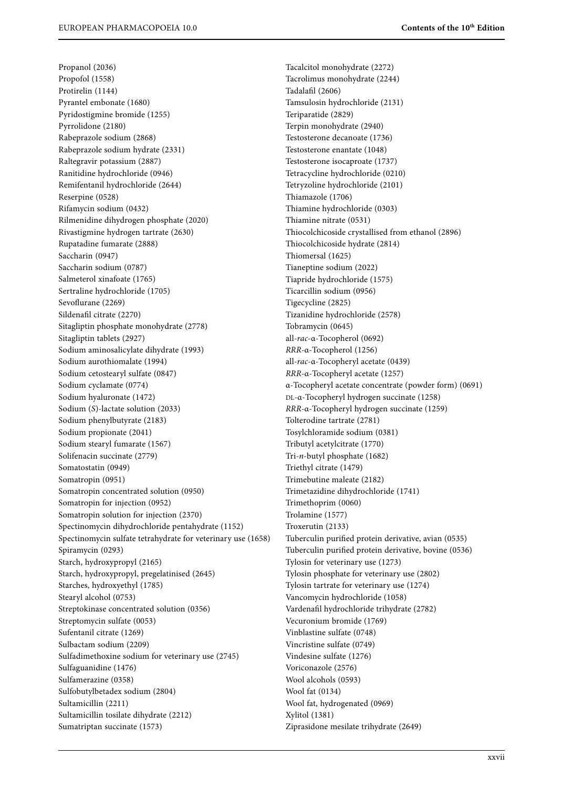Propanol (2036) Propofol (1558) Protirelin (1144) Pyrantel embonate (1680) Pyridostigmine bromide (1255) Pyrrolidone (2180) Rabeprazole sodium (2868) Rabeprazole sodium hydrate (2331) Raltegravir potassium (2887) Ranitidine hydrochloride (0946) Remifentanil hydrochloride (2644) Reserpine (0528) Rifamycin sodium (0432) Rilmenidine dihydrogen phosphate (2020) Rivastigmine hydrogen tartrate (2630) Rupatadine fumarate (2888) Saccharin (0947) Saccharin sodium (0787) Salmeterol xinafoate (1765) Sertraline hydrochloride (1705) Sevoflurane (2269) Sildenafil citrate (2270) Sitagliptin phosphate monohydrate (2778) Sitagliptin tablets (2927) Sodium aminosalicylate dihydrate (1993) Sodium aurothiomalate (1994) Sodium cetostearyl sulfate (0847) Sodium cyclamate (0774) Sodium hyaluronate (1472) Sodium (S)-lactate solution (2033) Sodium phenylbutyrate (2183) Sodium propionate (2041) Sodium stearyl fumarate (1567) Solifenacin succinate (2779) Somatostatin (0949) Somatropin (0951) Somatropin concentrated solution (0950) Somatropin for injection (0952) Somatropin solution for injection (2370) Spectinomycin dihydrochloride pentahydrate (1152) Spectinomycin sulfate tetrahydrate for veterinary use (1658) Spiramycin (0293) Starch, hydroxypropyl (2165) Starch, hydroxypropyl, pregelatinised (2645) Starches, hydroxyethyl (1785) Stearyl alcohol (0753) Streptokinase concentrated solution (0356) Streptomycin sulfate (0053) Sufentanil citrate (1269) Sulbactam sodium (2209) Sulfadimethoxine sodium for veterinary use (2745) Sulfaguanidine (1476) Sulfamerazine (0358) Sulfobutylbetadex sodium (2804) Sultamicillin (2211) Sultamicillin tosilate dihydrate (2212) Sumatriptan succinate (1573)

Tacalcitol monohydrate (2272) Tacrolimus monohydrate (2244) Tadalafil (2606) Tamsulosin hydrochloride (2131) Teriparatide (2829) Terpin monohydrate (2940) Testosterone decanoate (1736) Testosterone enantate (1048) Testosterone isocaproate (1737) Tetracycline hydrochloride (0210) Tetryzoline hydrochloride (2101) Thiamazole (1706) Thiamine hydrochloride (0303) Thiamine nitrate (0531) Thiocolchicoside crystallised from ethanol (2896) Thiocolchicoside hydrate (2814) Thiomersal (1625) Tianeptine sodium (2022) Tiapride hydrochloride (1575) Ticarcillin sodium (0956) Tigecycline (2825) Tizanidine hydrochloride (2578) Tobramycin (0645) all-rac-α-Tocopherol (0692) RRR-α-Tocopherol (1256) all-rac-α-Tocopheryl acetate (0439) RRR-α-Tocopheryl acetate (1257) α-Tocopheryl acetate concentrate (powder form) (0691) DL-α-Tocopheryl hydrogen succinate (1258) RRR-α-Tocopheryl hydrogen succinate (1259) Tolterodine tartrate (2781) Tosylchloramide sodium (0381) Tributyl acetylcitrate (1770) Tri-n-butyl phosphate (1682) Triethyl citrate (1479) Trimebutine maleate (2182) Trimetazidine dihydrochloride (1741) Trimethoprim (0060) Trolamine (1577) Troxerutin (2133) Tuberculin purified protein derivative, avian (0535) Tuberculin purified protein derivative, bovine (0536) Tylosin for veterinary use (1273) Tylosin phosphate for veterinary use (2802) Tylosin tartrate for veterinary use (1274) Vancomycin hydrochloride (1058) Vardenafil hydrochloride trihydrate (2782) Vecuronium bromide (1769) Vinblastine sulfate (0748) Vincristine sulfate (0749) Vindesine sulfate (1276) Voriconazole (2576) Wool alcohols (0593) Wool fat (0134) Wool fat, hydrogenated (0969) Xylitol (1381) Ziprasidone mesilate trihydrate (2649)